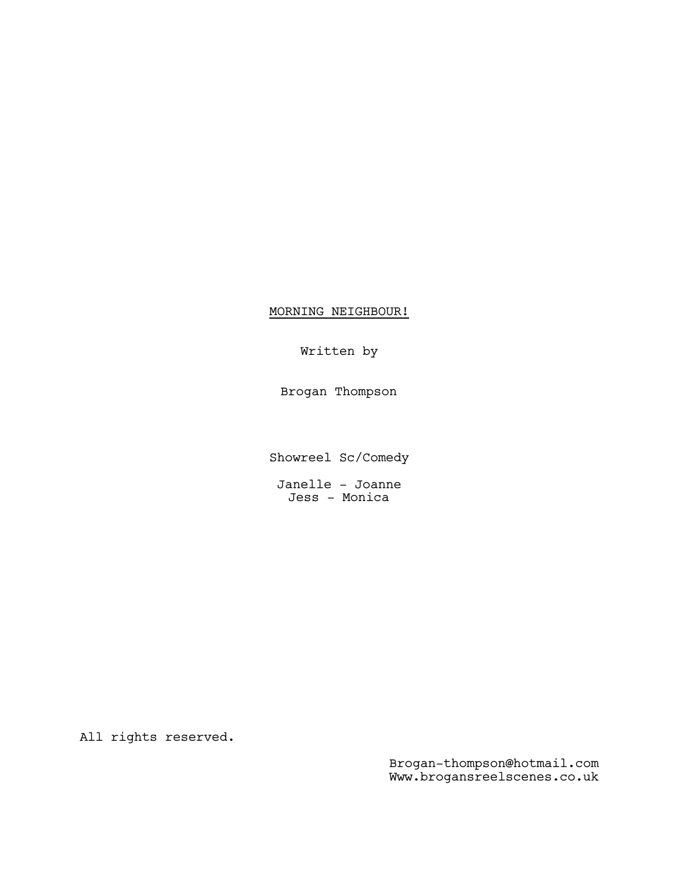## MORNING NEIGHBOUR!

## Written by

Brogan Thompson

Showreel Sc/Comedy

Janelle - Joanne Jess - Monica

All rights reserved.

Brogan-thompson@hotmail.com Www.brogansreelscenes.co.uk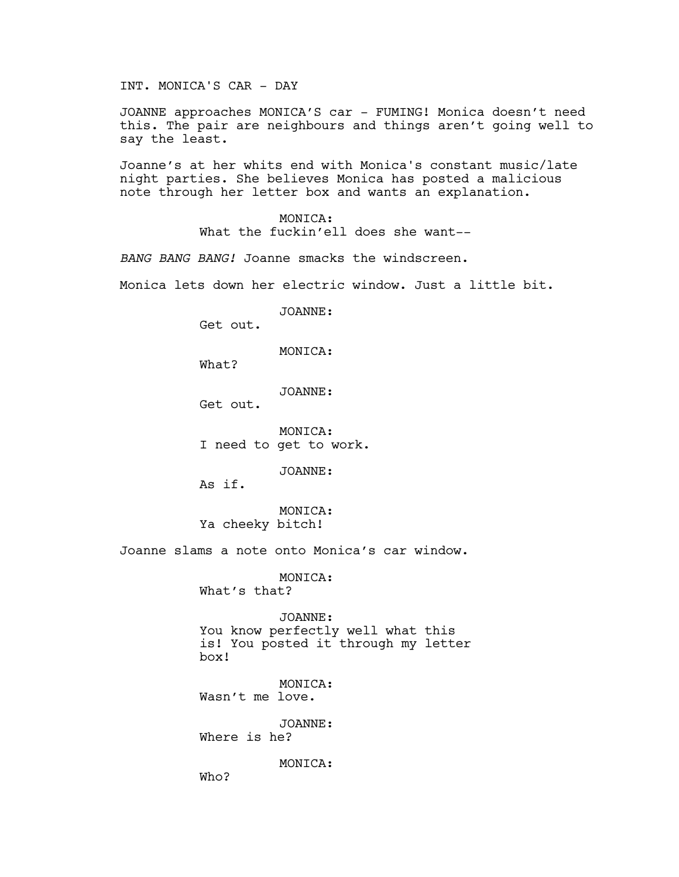INT. MONICA'S CAR - DAY

JOANNE approaches MONICA'S car - FUMING! Monica doesn't need this. The pair are neighbours and things aren't going well to say the least.

Joanne's at her whits end with Monica's constant music/late night parties. She believes Monica has posted a malicious note through her letter box and wants an explanation.

> MONICA: What the fuckin'ell does she want--

*BANG BANG BANG!* Joanne smacks the windscreen.

Monica lets down her electric window. Just a little bit.

JOANNE:

Get out.

MONICA:

What?

JOANNE:

Get out.

MONICA: I need to get to work.

JOANNE:

As if.

MONICA: Ya cheeky bitch!

Joanne slams a note onto Monica's car window.

MONICA: What's that?

JOANNE: You know perfectly well what this is! You posted it through my letter box!

MONICA: Wasn't me love.

JOANNE: Where is he?

MONTCA:

Who?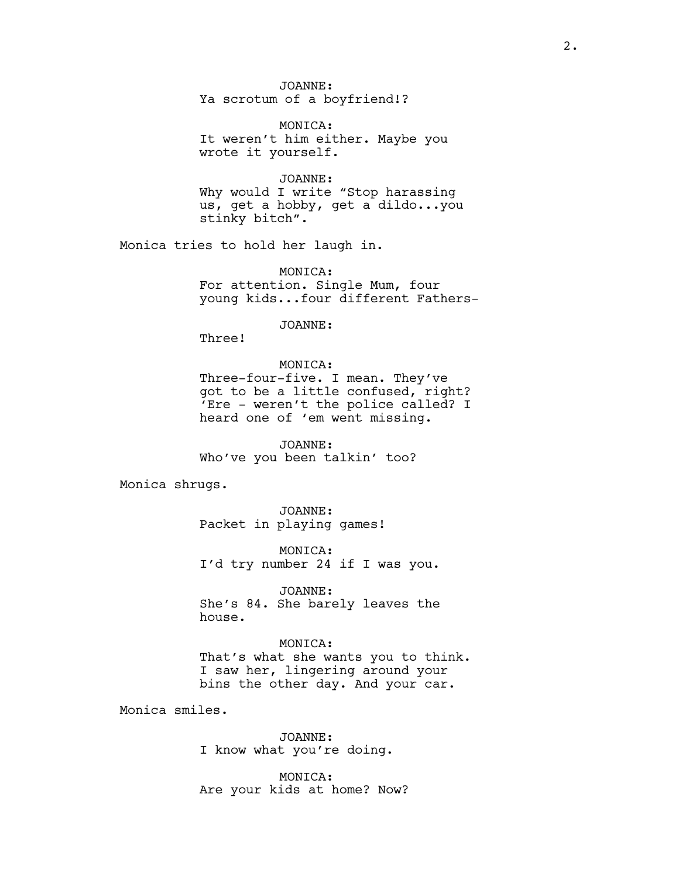JOANNE: Ya scrotum of a boyfriend!?

MONICA: It weren't him either. Maybe you wrote it yourself.

JOANNE: Why would I write "Stop harassing us, get a hobby, get a dildo...you stinky bitch".

Monica tries to hold her laugh in.

MONICA: For attention. Single Mum, four young kids...four different Fathers-

JOANNE:

Three!

MONICA: Three-four-five. I mean. They've got to be a little confused, right? 'Ere - weren't the police called? I heard one of 'em went missing.

JOANNE: Who've you been talkin' too?

Monica shrugs.

JOANNE: Packet in playing games!

MONICA: I'd try number 24 if I was you.

JOANNE: She's 84. She barely leaves the house.

MONICA: That's what she wants you to think. I saw her, lingering around your bins the other day. And your car.

Monica smiles.

JOANNE: I know what you're doing.

MONICA: Are your kids at home? Now?